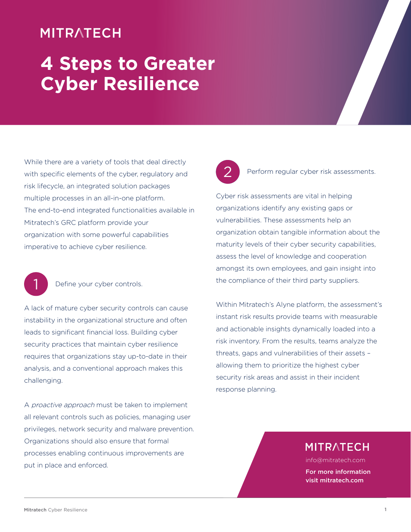# **MITRATECH**

# **4 Steps to Greater Cyber Resilience**

While there are a variety of tools that deal directly with specific elements of the cyber, regulatory and risk lifecycle, an integrated solution packages multiple processes in an all-in-one platform. The end-to-end integrated functionalities available in Mitratech's GRC platform provide your organization with some powerful capabilities imperative to achieve cyber resilience.

1

#### Define your cyber controls.

A lack of mature cyber security controls can cause instability in the organizational structure and often leads to significant financial loss. Building cyber security practices that maintain cyber resilience requires that organizations stay up-to-date in their analysis, and a conventional approach makes this challenging.

A proactive approach must be taken to implement all relevant controls such as policies, managing user privileges, network security and malware prevention. Organizations should also ensure that formal processes enabling continuous improvements are put in place and enforced.



#### Perform regular cyber risk assessments.

Cyber risk assessments are vital in helping organizations identify any existing gaps or vulnerabilities. These assessments help an organization obtain tangible information about the maturity levels of their cyber security capabilities, assess the level of knowledge and cooperation amongst its own employees, and gain insight into the compliance of their third party suppliers.

Within Mitratech's Alyne platform, the assessment's instant risk results provide teams with measurable and actionable insights dynamically loaded into a risk inventory. From the results, teams analyze the threats, gaps and vulnerabilities of their assets – allowing them to prioritize the highest cyber security risk areas and assist in their incident response planning.

### **MITRATECH**

info@mitratech.com

For more information visit mitratech.com